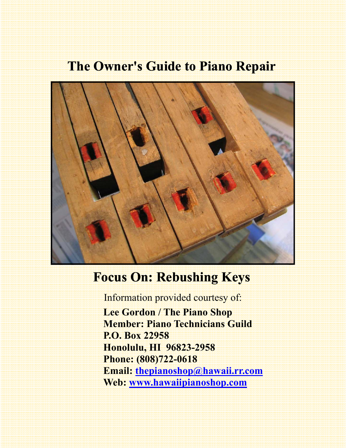# **The Owner's Guide to Piano Repair**



# **Focus On: Rebushing Keys**

Information provided courtesy of:

 **Lee Gordon / The Piano Shop Member: Piano Technicians Guild P.O. Box 22958 Honolulu, HI 96823-2958 Phone: (808)722-0618 Email: thepianoshop@hawaii.rr.com Web: www.hawaiipianoshop.com**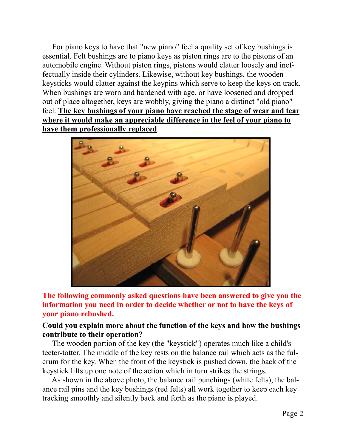For piano keys to have that "new piano" feel a quality set of key bushings is essential. Felt bushings are to piano keys as piston rings are to the pistons of an automobile engine. Without piston rings, pistons would clatter loosely and ineffectually inside their cylinders. Likewise, without key bushings, the wooden keysticks would clatter against the keypins which serve to keep the keys on track. When bushings are worn and hardened with age, or have loosened and dropped out of place altogether, keys are wobbly, giving the piano a distinct "old piano" feel. **The key bushings of your piano have reached the stage of wear and tear where it would make an appreciable difference in the feel of your piano to have them professionally replaced**.



**The following commonly asked questions have been answered to give you the information you need in order to decide whether or not to have the keys of your piano rebushed.** 

### **Could you explain more about the function of the keys and how the bushings contribute to their operation?**

The wooden portion of the key (the "keystick") operates much like a child's teeter-totter. The middle of the key rests on the balance rail which acts as the fulcrum for the key. When the front of the keystick is pushed down, the back of the keystick lifts up one note of the action which in turn strikes the strings.

 As shown in the above photo, the balance rail punchings (white felts), the balance rail pins and the key bushings (red felts) all work together to keep each key tracking smoothly and silently back and forth as the piano is played.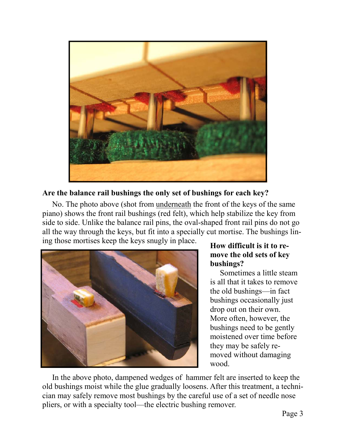

**Are the balance rail bushings the only set of bushings for each key?** 

 No. The photo above (shot from underneath the front of the keys of the same piano) shows the front rail bushings (red felt), which help stabilize the key from side to side. Unlike the balance rail pins, the oval-shaped front rail pins do not go all the way through the keys, but fit into a specially cut mortise. The bushings lining those mortises keep the keys snugly in place.



## **How difficult is it to remove the old sets of key bushings?**

 Sometimes a little steam is all that it takes to remove the old bushings—in fact bushings occasionally just drop out on their own. More often, however, the bushings need to be gently moistened over time before they may be safely removed without damaging wood.

 In the above photo, dampened wedges of hammer felt are inserted to keep the old bushings moist while the glue gradually loosens. After this treatment, a technician may safely remove most bushings by the careful use of a set of needle nose pliers, or with a specialty tool—the electric bushing remover.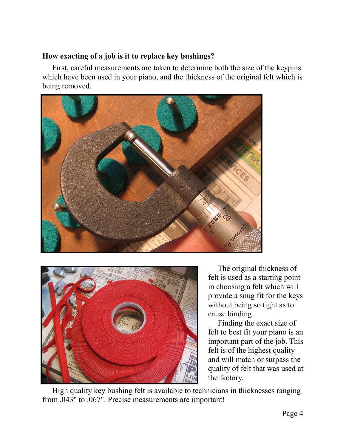### **How exacting of a job is it to replace key bushings?**

 First, careful measurements are taken to determine both the size of the keypins which have been used in your piano, and the thickness of the original felt which is being removed.





 The original thickness of felt is used as a starting point in choosing a felt which will provide a snug fit for the keys without being so tight as to cause binding.

 Finding the exact size of felt to best fit your piano is an important part of the job. This felt is of the highest quality and will match or surpass the quality of felt that was used at the factory.

 High quality key bushing felt is available to technicians in thicknesses ranging from .043" to .067". Precise measurements are important!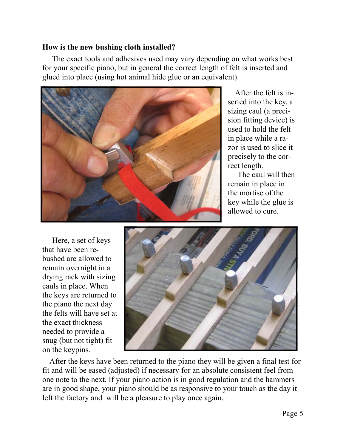#### **How is the new bushing cloth installed?**

 The exact tools and adhesives used may vary depending on what works best for your specific piano, but in general the correct length of felt is inserted and glued into place (using hot animal hide glue or an equivalent).



 After the felt is inserted into the key, a sizing caul (a precision fitting device) is used to hold the felt in place while a razor is used to slice it precisely to the correct length.

 The caul will then remain in place in the mortise of the key while the glue is allowed to cure.

 Here, a set of keys that have been rebushed are allowed to remain overnight in a drying rack with sizing cauls in place. When the keys are returned to the piano the next day the felts will have set at the exact thickness needed to provide a snug (but not tight) fit on the keypins.



 After the keys have been returned to the piano they will be given a final test for fit and will be eased (adjusted) if necessary for an absolute consistent feel from one note to the next. If your piano action is in good regulation and the hammers are in good shape, your piano should be as responsive to your touch as the day it left the factory and will be a pleasure to play once again.